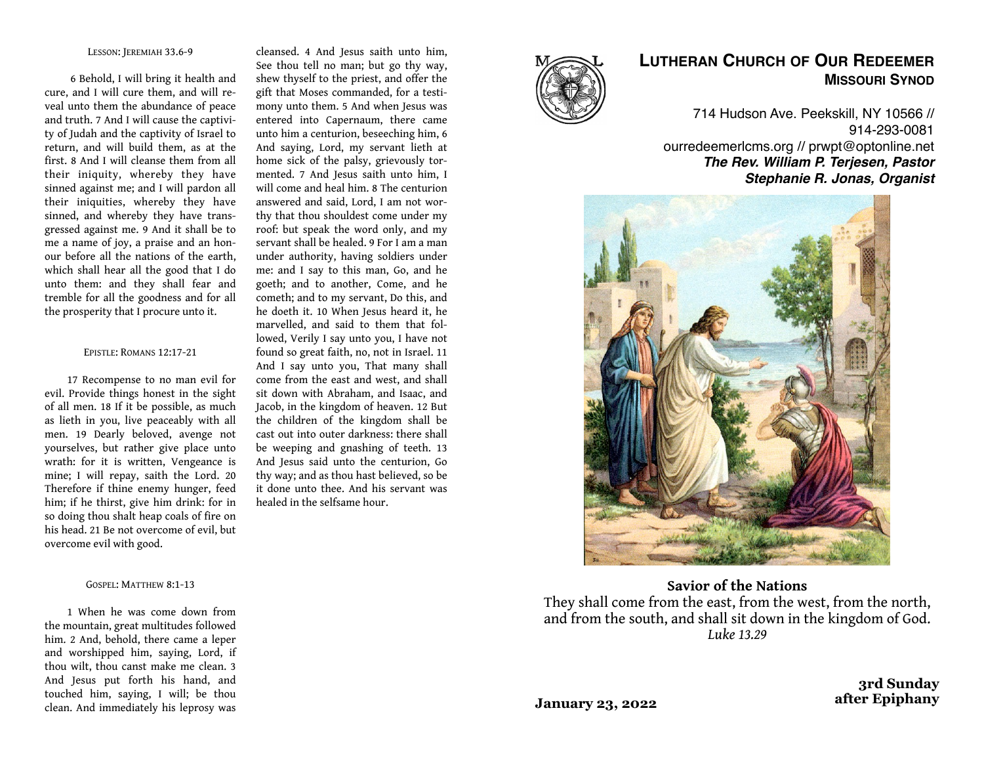### LESSON: JEREMIAH 33.6-9

 6 Behold, I will bring it health and cure, and I will cure them, and will reveal unto them the abundance of peace and truth. 7 And I will cause the captivity of Judah and the captivity of Israel to return, and will build them, as at the first. 8 And I will cleanse them from all their iniquity, whereby they have sinned against me; and I will pardon all their iniquities, whereby they have sinned, and whereby they have transgressed against me. 9 And it shall be to me a name of joy, a praise and an honour before all the nations of the earth, which shall hear all the good that I do unto them: and they shall fear and tremble for all the goodness and for all the prosperity that I procure unto it.

#### EPISTLE: ROMANS 12:17-21

17 Recompense to no man evil for evil. Provide things honest in the sight of all men. 18 If it be possible, as much as lieth in you, live peaceably with all men. 19 Dearly beloved, avenge not yourselves, but rather give place unto wrath: for it is written, Vengeance is mine; I will repay, saith the Lord. 20 Therefore if thine enemy hunger, feed him; if he thirst, give him drink: for in so doing thou shalt heap coals of fire on his head. 21 Be not overcome of evil, but overcome evil with good.

### GOSPEL: MATTHEW 8:1-13

1 When he was come down from the mountain, great multitudes followed him. 2 And, behold, there came a leper and worshipped him, saying, Lord, if thou wilt, thou canst make me clean. 3 And Jesus put forth his hand, and touched him, saying, I will; be thou clean. And immediately his leprosy was

cleansed. 4 And Jesus saith unto him, See thou tell no man; but go thy way, shew thyself to the priest, and offer the gift that Moses commanded, for a testimony unto them. 5 And when Jesus was entered into Capernaum, there came unto him a centurion, beseeching him, 6 And saying, Lord, my servant lieth at home sick of the palsy, grievously tormented. 7 And Jesus saith unto him, I will come and heal him. 8 The centurion answered and said, Lord, I am not worthy that thou shouldest come under my roof: but speak the word only, and my servant shall be healed. 9 For I am a man under authority, having soldiers under me: and I say to this man, Go, and he goeth; and to another, Come, and he cometh; and to my servant, Do this, and he doeth it. 10 When Jesus heard it, he marvelled, and said to them that followed, Verily I say unto you, I have not found so great faith, no, not in Israel. 11 And I say unto you, That many shall come from the east and west, and shall sit down with Abraham, and Isaac, and Jacob, in the kingdom of heaven. 12 But the children of the kingdom shall be cast out into outer darkness: there shall be weeping and gnashing of teeth. 13 And Jesus said unto the centurion, Go thy way; and as thou hast believed, so be it done unto thee. And his servant was healed in the selfsame hour.



# **LUTHERAN CHURCH OF OUR REDEEMER MISSOURI SYNOD**

714 Hudson Ave. Peekskill, NY 10566 // 914-293-0081 ourredeemerlcms.org // prwpt@optonline.net *The Rev. William P. Terjesen, Pastor Stephanie R. Jonas, Organist*



**Savior of the Nations** They shall come from the east, from the west, from the north, and from the south, and shall sit down in the kingdom of God. *Luke 13.29*

**January 23, 2022**

**3rd Sunday after Epiphany**